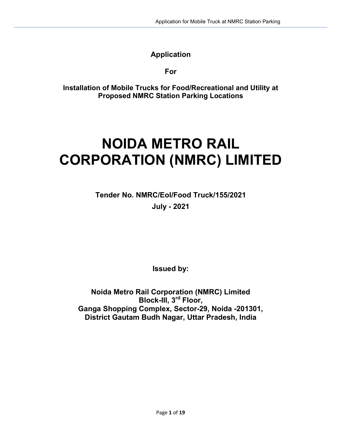# Application

For

Installation of Mobile Trucks for Food/Recreational and Utility at Proposed NMRC Station Parking Locations

# NOIDA METRO RAIL CORPORATION (NMRC) LIMITED

Tender No. NMRC/EoI/Food Truck/155/2021 July - 2021

Issued by:

Noida Metro Rail Corporation (NMRC) Limited Block-III, 3<sup>rd</sup> Floor, Ganga Shopping Complex, Sector-29, Noida -201301, District Gautam Budh Nagar, Uttar Pradesh, India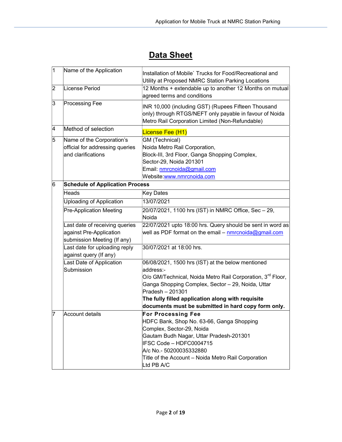# **Data Sheet**

| 1                                                                    | Name of the Application                                 | Installation of Mobile' Trucks for Food/Recreational and<br>Utility at Proposed NMRC Station Parking Locations                                                    |  |  |  |
|----------------------------------------------------------------------|---------------------------------------------------------|-------------------------------------------------------------------------------------------------------------------------------------------------------------------|--|--|--|
| 2                                                                    | License Period                                          | 12 Months + extendable up to another 12 Months on mutual<br>agreed terms and conditions                                                                           |  |  |  |
| 3                                                                    | <b>Processing Fee</b>                                   | INR 10,000 (including GST) (Rupees Fifteen Thousand<br>only) through RTGS/NEFT only payable in favour of Noida<br>Metro Rail Corporation Limited (Non-Refundable) |  |  |  |
| 4                                                                    | Method of selection                                     | License Fee (H1)                                                                                                                                                  |  |  |  |
| $\overline{5}$<br><b>GM</b> (Technical)<br>Name of the Corporation's |                                                         |                                                                                                                                                                   |  |  |  |
|                                                                      | official for addressing queries                         | Noida Metro Rail Corporation,                                                                                                                                     |  |  |  |
|                                                                      | and clarifications                                      | Block-III, 3rd Floor, Ganga Shopping Complex,                                                                                                                     |  |  |  |
|                                                                      |                                                         | Sector-29, Noida 201301                                                                                                                                           |  |  |  |
|                                                                      |                                                         | Email: nmrcnoida@gmail.com                                                                                                                                        |  |  |  |
|                                                                      |                                                         | Website:www.nmrcnoida.com                                                                                                                                         |  |  |  |
| 6                                                                    | <b>Schedule of Application Process</b>                  |                                                                                                                                                                   |  |  |  |
|                                                                      | <b>Heads</b>                                            | Key Dates                                                                                                                                                         |  |  |  |
|                                                                      | <b>Uploading of Application</b>                         | 13/07/2021                                                                                                                                                        |  |  |  |
|                                                                      | <b>Pre-Application Meeting</b>                          | 20/07/2021, 1100 hrs (IST) in NMRC Office, Sec - 29,<br>Noida                                                                                                     |  |  |  |
|                                                                      | Last date of receiving queries                          | 22/07/2021 upto 18:00 hrs. Query should be sent in word as                                                                                                        |  |  |  |
|                                                                      | against Pre-Application<br>submission Meeting (If any)  | well as PDF format on the email – <u>nmrcnoida@gmail.com</u>                                                                                                      |  |  |  |
|                                                                      | Last date for uploading reply<br>against query (If any) | 30/07/2021 at 18:00 hrs.                                                                                                                                          |  |  |  |
|                                                                      | Last Date of Application                                | 06/08/2021, 1500 hrs (IST) at the below mentioned                                                                                                                 |  |  |  |
|                                                                      | Submission                                              | address:-                                                                                                                                                         |  |  |  |
|                                                                      |                                                         | O/o GM/Technical, Noida Metro Rail Corporation, 3 <sup>rd</sup> Floor,                                                                                            |  |  |  |
|                                                                      |                                                         | Ganga Shopping Complex, Sector - 29, Noida, Uttar                                                                                                                 |  |  |  |
|                                                                      |                                                         | Pradesh - 201301                                                                                                                                                  |  |  |  |
|                                                                      |                                                         | The fully filled application along with requisite                                                                                                                 |  |  |  |
|                                                                      |                                                         | documents must be submitted in hard copy form only.                                                                                                               |  |  |  |
| 17                                                                   | <b>Account details</b>                                  | <b>For Processing Fee</b>                                                                                                                                         |  |  |  |
|                                                                      |                                                         | HDFC Bank, Shop No. 63-66, Ganga Shopping                                                                                                                         |  |  |  |
|                                                                      |                                                         | Complex, Sector-29, Noida                                                                                                                                         |  |  |  |
|                                                                      |                                                         | Gautam Budh Nagar, Uttar Pradesh-201301                                                                                                                           |  |  |  |
|                                                                      |                                                         | IFSC Code - HDFC0004715                                                                                                                                           |  |  |  |
|                                                                      |                                                         | A/c No.- 50200035332880                                                                                                                                           |  |  |  |
|                                                                      |                                                         | Title of the Account - Noida Metro Rail Corporation<br>Ltd PB A/C                                                                                                 |  |  |  |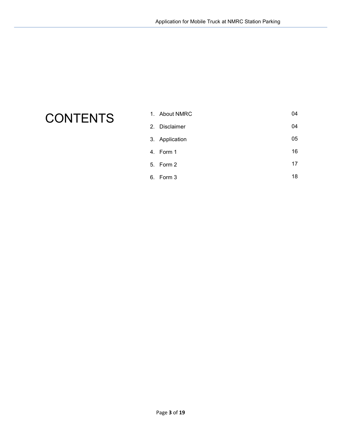# **CONTENTS**

| 1. About NMRC  | 04 |
|----------------|----|
| 2. Disclaimer  | 04 |
| 3. Application | 05 |
| 4. Form 1      | 16 |
| 5. Form 2      | 17 |
| 6. Form 3      | 18 |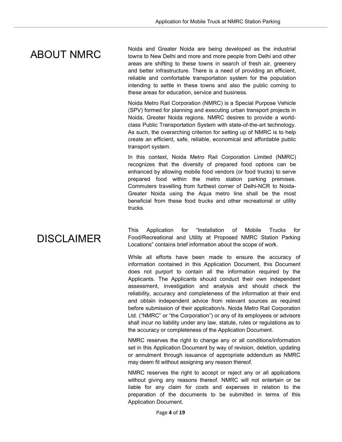# ABOUT NMRC

Noida and Greater Noida are being developed as the industrial towns to New Delhi and more and more people from Delhi and other areas are shifting to these towns in search of fresh air, greenery and better infrastructure. There is a need of providing an efficient, reliable and comfortable transportation system for the population intending to settle in these towns and also the public coming to these areas for education, service and business.

Noida Metro Rail Corporation (NMRC) is a Special Purpose Vehicle (SPV) formed for planning and executing urban transport projects in Noida, Greater Noida regions. NMRC desires to provide a worldclass Public Transportation System with state-of-the-art technology. As such, the overarching criterion for setting up of NMRC is to help create an efficient, safe, reliable, economical and affordable public transport system.

In this context, Noida Metro Rail Corporation Limited (NMRC) recognizes that the diversity of prepared food options can be enhanced by allowing mobile food vendors (or food trucks) to serve prepared food within the metro station parking premises. Commuters travelling from furthest corner of Delhi-NCR to Noida-Greater Noida using the Aqua metro line shall be the most beneficial from these food trucks and other recreational or utility trucks.

# DISCLAIMER

This Application for "Installation of Mobile Trucks for Food/Recreational and Utility at Proposed NMRC Station Parking Locations" contains brief information about the scope of work.

While all efforts have been made to ensure the accuracy of information contained in this Application Document, this Document does not purport to contain all the information required by the Applicants. The Applicants should conduct their own independent assessment, investigation and analysis and should check the reliability, accuracy and completeness of the information at their end and obtain independent advice from relevant sources as required before submission of their application/s. Noida Metro Rail Corporation Ltd. ("NMRC" or "the Corporation") or any of its employees or advisors shall incur no liability under any law, statute, rules or regulations as to the accuracy or completeness of the Application Document.

NMRC reserves the right to change any or all conditions/information set in this Application Document by way of revision, deletion, updating or annulment through issuance of appropriate addendum as NMRC may deem fit without assigning any reason thereof.

NMRC reserves the right to accept or reject any or all applications without giving any reasons thereof. NMRC will not entertain or be liable for any claim for costs and expenses in relation to the preparation of the documents to be submitted in terms of this Application Document.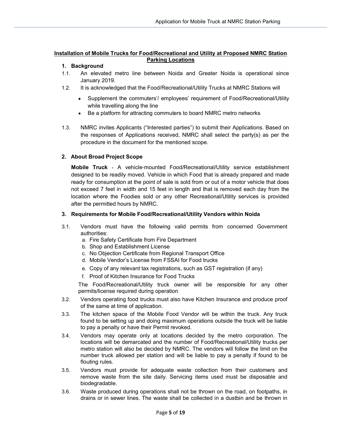# Installation of Mobile Trucks for Food/Recreational and Utility at Proposed NMRC Station Parking Locations

# 1. Background

- 1.1. An elevated metro line between Noida and Greater Noida is operational since January 2019.
- 1.2. It is acknowledged that the Food/Recreational/Utility Trucks at NMRC Stations will
	- Supplement the commuters'/ employees' requirement of Food/Recreational/Utility while travelling along the line
	- Be a platform for attracting commuters to board NMRC metro networks
- 1.3. NMRC invites Applicants ("Interested parties") to submit their Applications. Based on the responses of Applications received, NMRC shall select the party(s) as per the procedure in the document for the mentioned scope.

# 2. About Broad Project Scope

Mobile Truck ‐ A vehicle‐mounted Food/Recreational/Utility service establishment designed to be readily moved. Vehicle in which Food that is already prepared and made ready for consumption at the point of sale is sold from or out of a motor vehicle that does not exceed 7 feet in width and 15 feet in length and that is removed each day from the location where the Foodies sold or any other Recreational/Utility services is provided after the permitted hours by NMRC.

# 3. Requirements for Mobile Food/Recreational/Utility Vendors within Noida

- 3.1. Vendors must have the following valid permits from concerned Government authorities:
	- a. Fire Safety Certificate from Fire Department
	- b. Shop and Establishment License
	- c. No Objection Certificate from Regional Transport Office
	- d. Mobile Vendor's License from FSSAI for Food trucks
	- e. Copy of any relevant tax registrations, such as GST registration (if any)
	- f. Proof of Kitchen Insurance for Food Trucks

The Food/Recreational/Utility truck owner will be responsible for any other permits/license required during operation

- 3.2. Vendors operating food trucks must also have Kitchen Insurance and produce proof of the same at time of application.
- 3.3. The kitchen space of the Mobile Food Vendor will be within the truck. Any truck found to be setting up and doing maximum operations outside the truck will be liable to pay a penalty or have their Permit revoked.
- 3.4. Vendors may operate only at locations decided by the metro corporation. The locations will be demarcated and the number of Food/Recreational/Utility trucks per metro station will also be decided by NMRC. The vendors will follow the limit on the number truck allowed per station and will be liable to pay a penalty if found to be flouting rules.
- 3.5. Vendors must provide for adequate waste collection from their customers and remove waste from the site daily. Servicing items used must be disposable and biodegradable.
- 3.6. Waste produced during operations shall not be thrown on the road, on footpaths, in drains or in sewer lines. The waste shall be collected in a dustbin and be thrown in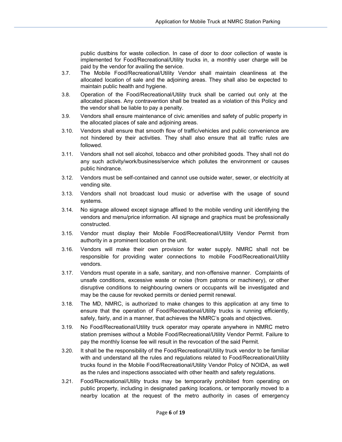public dustbins for waste collection. In case of door to door collection of waste is implemented for Food/Recreational/Utility trucks in, a monthly user charge will be paid by the vendor for availing the service.

- 3.7. The Mobile Food/Recreational/Utility Vendor shall maintain cleanliness at the allocated location of sale and the adjoining areas. They shall also be expected to maintain public health and hygiene.
- 3.8. Operation of the Food/Recreational/Utility truck shall be carried out only at the allocated places. Any contravention shall be treated as a violation of this Policy and the vendor shall be liable to pay a penalty.
- 3.9. Vendors shall ensure maintenance of civic amenities and safety of public property in the allocated places of sale and adjoining areas.
- 3.10. Vendors shall ensure that smooth flow of traffic/vehicles and public convenience are not hindered by their activities. They shall also ensure that all traffic rules are followed.
- 3.11. Vendors shall not sell alcohol, tobacco and other prohibited goods. They shall not do any such activity/work/business/service which pollutes the environment or causes public hindrance.
- 3.12. Vendors must be self-contained and cannot use outside water, sewer, or electricity at vending site.
- 3.13. Vendors shall not broadcast loud music or advertise with the usage of sound systems.
- 3.14. No signage allowed except signage affixed to the mobile vending unit identifying the vendors and menu/price information. All signage and graphics must be professionally constructed.
- 3.15. Vendor must display their Mobile Food/Recreational/Utility Vendor Permit from authority in a prominent location on the unit.
- 3.16. Vendors will make their own provision for water supply. NMRC shall not be responsible for providing water connections to mobile Food/Recreational/Utility vendors.
- 3.17. Vendors must operate in a safe, sanitary, and non‐offensive manner. Complaints of unsafe conditions, excessive waste or noise (from patrons or machinery), or other disruptive conditions to neighbouring owners or occupants will be investigated and may be the cause for revoked permits or denied permit renewal.
- 3.18. The MD, NMRC, is authorized to make changes to this application at any time to ensure that the operation of Food/Recreational/Utility trucks is running efficiently, safely, fairly, and in a manner, that achieves the NMRC's goals and objectives.
- 3.19. No Food/Recreational/Utility truck operator may operate anywhere in NMRC metro station premises without a Mobile Food/Recreational/Utility Vendor Permit. Failure to pay the monthly license fee will result in the revocation of the said Permit.
- 3.20. It shall be the responsibility of the Food/Recreational/Utility truck vendor to be familiar with and understand all the rules and regulations related to Food/Recreational/Utility trucks found in the Mobile Food/Recreational/Utility Vendor Policy of NOIDA, as well as the rules and inspections associated with other health and safety regulations.
- 3.21. Food/Recreational/Utility trucks may be temporarily prohibited from operating on public property, including in designated parking locations, or temporarily moved to a nearby location at the request of the metro authority in cases of emergency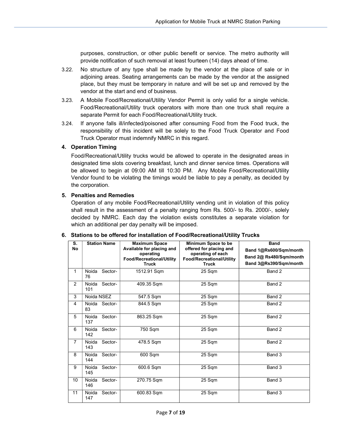purposes, construction, or other public benefit or service. The metro authority will provide notification of such removal at least fourteen (14) days ahead of time.

- 3.22. No structure of any type shall be made by the vendor at the place of sale or in adjoining areas. Seating arrangements can be made by the vendor at the assigned place, but they must be temporary in nature and will be set up and removed by the vendor at the start and end of business.
- 3.23. A Mobile Food/Recreational/Utility Vendor Permit is only valid for a single vehicle. Food/Recreational/Utility truck operators with more than one truck shall require a separate Permit for each Food/Recreational/Utility truck.
- 3.24. If anyone falls ill/infected/poisoned after consuming Food from the Food truck, the responsibility of this incident will be solely to the Food Truck Operator and Food Truck Operator must indemnify NMRC in this regard.

#### 4. Operation Timing

Food/Recreational/Utility trucks would be allowed to operate in the designated areas in designated time slots covering breakfast, lunch and dinner service times. Operations will be allowed to begin at 09:00 AM till 10:30 PM. Any Mobile Food/Recreational/Utility Vendor found to be violating the timings would be liable to pay a penalty, as decided by the corporation.

#### 5. Penalties and Remedies

Operation of any mobile Food/Recreational/Utility vending unit in violation of this policy shall result in the assessment of a penalty ranging from Rs. 500/- to Rs. 2000/-, solely decided by NMRC. Each day the violation exists constitutes a separate violation for which an additional per day penalty will be imposed.

| S.<br><b>No</b> | <b>Station Name</b>     | <b>Maximum Space</b><br>Available for placing and<br>operating<br>Food/Recreational/Utility<br><b>Truck</b> | Minimum Space to be<br>offered for placing and<br>operating of each<br>Food/Recreational/Utility<br><b>Truck</b> | <b>Band</b><br>Band 1@Rs600/Sqm/month<br>Band 2@ Rs480/Sqm/month<br>Band 3@Rs390/Sqm/month |
|-----------------|-------------------------|-------------------------------------------------------------------------------------------------------------|------------------------------------------------------------------------------------------------------------------|--------------------------------------------------------------------------------------------|
| 1               | Noida<br>Sector-<br>76  | 1512.91 Sqm                                                                                                 | 25 Sqm                                                                                                           | Band 2                                                                                     |
| 2               | Noida<br>Sector-<br>101 | 409.35 Sqm                                                                                                  | 25 Sqm                                                                                                           | Band 2                                                                                     |
| 3               | Noida NSEZ              | 547.5 Sqm                                                                                                   | 25 Sqm                                                                                                           | Band 2                                                                                     |
| 4               | Noida Sector-<br>83     | 844.5 Sqm                                                                                                   | 25 Sqm                                                                                                           | Band 2                                                                                     |
| 5               | Noida<br>Sector-<br>137 | 863.25 Sqm                                                                                                  | 25 Sqm                                                                                                           | Band 2                                                                                     |
| 6               | Noida<br>Sector-<br>142 | 750 Sqm                                                                                                     | 25 Sqm                                                                                                           | Band 2                                                                                     |
| $\overline{7}$  | Noida<br>Sector-<br>143 | 478.5 Sqm                                                                                                   | 25 Sqm                                                                                                           | Band 2                                                                                     |
| 8               | Noida<br>Sector-<br>144 | 600 Sqm                                                                                                     | 25 Sqm                                                                                                           | Band 3                                                                                     |
| 9               | Noida<br>Sector-<br>145 | 600.6 Sqm                                                                                                   | 25 Sqm                                                                                                           | Band 3                                                                                     |
| 10              | Noida<br>Sector-<br>146 | 270.75 Sqm                                                                                                  | 25 Sqm                                                                                                           | Band 3                                                                                     |
| 11              | Noida<br>Sector-<br>147 | 600.83 Sqm                                                                                                  | 25 Sqm                                                                                                           | Band 3                                                                                     |

#### 6. Stations to be offered for installation of Food/Recreational/Utility Trucks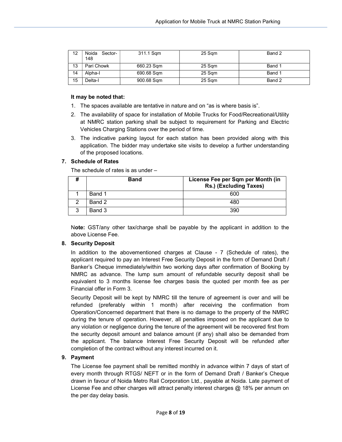| 12 | Noida<br>Sector-<br>148 | 311.1 Sqm  | 25 Sqm | Band 2 |
|----|-------------------------|------------|--------|--------|
| 13 | Pari Chowk              | 660.23 Sqm | 25 Sqm | Band 1 |
| 14 | Alpha-I                 | 690.68 Sqm | 25 Sam | Band 1 |
| 15 | Delta-l                 | 900.68 Sqm | 25 Sqm | Band 2 |

#### It may be noted that:

- 1. The spaces available are tentative in nature and on "as is where basis is".
- 2. The availability of space for installation of Mobile Trucks for Food/Recreational/Utility at NMRC station parking shall be subject to requirement for Parking and Electric Vehicles Charging Stations over the period of time.
- 3. The indicative parking layout for each station has been provided along with this application. The bidder may undertake site visits to develop a further understanding of the proposed locations.

# 7. Schedule of Rates

The schedule of rates is as under –

|   | <b>Band</b> | License Fee per Sqm per Month (in<br>Rs.) (Excluding Taxes) |
|---|-------------|-------------------------------------------------------------|
|   | Band 1      | 600                                                         |
|   | Band 2      | 48C                                                         |
| વ | Band 3      | 390                                                         |

Note: GST/any other tax/charge shall be payable by the applicant in addition to the above License Fee.

# 8. Security Deposit

In addition to the abovementioned charges at Clause - 7 (Schedule of rates), the applicant required to pay an Interest Free Security Deposit in the form of Demand Draft / Banker's Cheque immediately/within two working days after confirmation of Booking by NMRC as advance. The lump sum amount of refundable security deposit shall be equivalent to 3 months license fee charges basis the quoted per month fee as per Financial offer in Form 3.

Security Deposit will be kept by NMRC till the tenure of agreement is over and will be refunded (preferably within 1 month) after receiving the confirmation from Operation/Concerned department that there is no damage to the property of the NMRC during the tenure of operation. However, all penalties imposed on the applicant due to any violation or negligence during the tenure of the agreement will be recovered first from the security deposit amount and balance amount (if any) shall also be demanded from the applicant. The balance Interest Free Security Deposit will be refunded after completion of the contract without any interest incurred on it.

# 9. Payment

The License fee payment shall be remitted monthly in advance within 7 days of start of every month through RTGS/ NEFT or in the form of Demand Draft / Banker's Cheque drawn in favour of Noida Metro Rail Corporation Ltd., payable at Noida. Late payment of License Fee and other charges will attract penalty interest charges @ 18% per annum on the per day delay basis.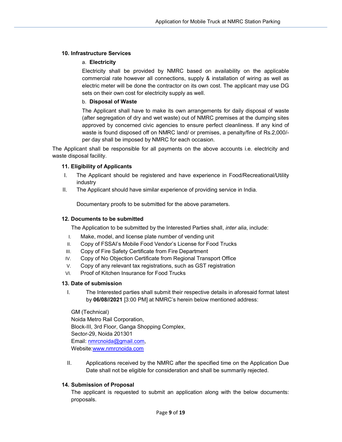# 10. Infrastructure Services

# a. Electricity

Electricity shall be provided by NMRC based on availability on the applicable commercial rate however all connections, supply & installation of wiring as well as electric meter will be done the contractor on its own cost. The applicant may use DG sets on their own cost for electricity supply as well.

# b. Disposal of Waste

The Applicant shall have to make its own arrangements for daily disposal of waste (after segregation of dry and wet waste) out of NMRC premises at the dumping sites approved by concerned civic agencies to ensure perfect cleanliness. If any kind of waste is found disposed off on NMRC land/ or premises, a penalty/fine of Rs.2,000/ per day shall be imposed by NMRC for each occasion.

The Applicant shall be responsible for all payments on the above accounts i.e. electricity and waste disposal facility.

# 11. Eligibility of Applicants

- I. The Applicant should be registered and have experience in Food/Recreational/Utility industry
- II. The Applicant should have similar experience of providing service in India.

Documentary proofs to be submitted for the above parameters.

# 12. Documents to be submitted

The Application to be submitted by the Interested Parties shall, *inter alia*, include:

- I. Make, model, and license plate number of vending unit
- II. Copy of FSSAI's Mobile Food Vendor's License for Food Trucks
- III. Copy of Fire Safety Certificate from Fire Department
- IV. Copy of No Objection Certificate from Regional Transport Office
- V. Copy of any relevant tax registrations, such as GST registration
- VI. Proof of Kitchen Insurance for Food Trucks

# 13. Date of submission

I. The Interested parties shall submit their respective details in aforesaid format latest by 06/08//2021 [3:00 PM] at NMRC's herein below mentioned address:

GM (Technical) Noida Metro Rail Corporation, Block-III, 3rd Floor, Ganga Shopping Complex, Sector-29, Noida 201301 Email: nmrcnoida@gmail.com, Website:www.nmrcnoida.com

II. Applications received by the NMRC after the specified time on the Application Due Date shall not be eligible for consideration and shall be summarily rejected.

# 14. Submission of Proposal

The applicant is requested to submit an application along with the below documents: proposals.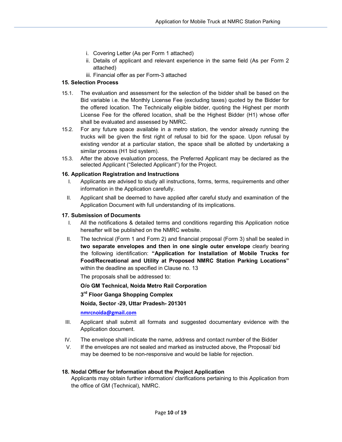- i. Covering Letter (As per Form 1 attached)
- ii. Details of applicant and relevant experience in the same field (As per Form 2 attached)
- iii. Financial offer as per Form-3 attached

# 15. Selection Process

- 15.1. The evaluation and assessment for the selection of the bidder shall be based on the Bid variable i.e. the Monthly License Fee (excluding taxes) quoted by the Bidder for the offered location. The Technically eligible bidder, quoting the Highest per month License Fee for the offered location, shall be the Highest Bidder (H1) whose offer shall be evaluated and assessed by NMRC.
- 15.2. For any future space available in a metro station, the vendor already running the trucks will be given the first right of refusal to bid for the space. Upon refusal by existing vendor at a particular station, the space shall be allotted by undertaking a similar process (H1 bid system).
- 15.3. After the above evaluation process, the Preferred Applicant may be declared as the selected Applicant ("Selected Applicant") for the Project.

# 16. Application Registration and Instructions

- Applicants are advised to study all instructions, forms, terms, requirements and other information in the Application carefully.
- II. Applicant shall be deemed to have applied after careful study and examination of the Application Document with full understanding of its implications.

# 17. Submission of Documents

- I. All the notifications & detailed terms and conditions regarding this Application notice hereafter will be published on the NMRC website.
- II. The technical (Form 1 and Form 2) and financial proposal (Form 3) shall be sealed in two separate envelopes and then in one single outer envelope clearly bearing the following identification: "Application for Installation of Mobile Trucks for Food/Recreational and Utility at Proposed NMRC Station Parking Locations" within the deadline as specified in Clause no. 13

The proposals shall be addressed to:

# O/o GM Technical, Noida Metro Rail Corporation

3<sup>rd</sup> Floor Ganga Shopping Complex

Noida, Sector -29, Uttar Pradesh- 201301

nmrcnoida@gmail.com

- III. Applicant shall submit all formats and suggested documentary evidence with the Application document.
- IV. The envelope shall indicate the name, address and contact number of the Bidder
- V. If the envelopes are not sealed and marked as instructed above, the Proposal/ bid may be deemed to be non-responsive and would be liable for rejection.

# 18. Nodal Officer for Information about the Project Application

Applicants may obtain further information/ clarifications pertaining to this Application from the office of GM (Technical), NMRC.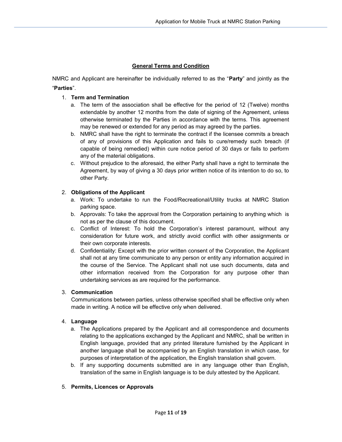# General Terms and Condition

NMRC and Applicant are hereinafter be individually referred to as the "Party" and jointly as the "Parties".

# 1. Term and Termination

- a. The term of the association shall be effective for the period of 12 (Twelve) months extendable by another 12 months from the date of signing of the Agreement, unless otherwise terminated by the Parties in accordance with the terms. This agreement may be renewed or extended for any period as may agreed by the parties.
- b. NMRC shall have the right to terminate the contract if the licensee commits a breach of any of provisions of this Application and fails to cure/remedy such breach (if capable of being remedied) within cure notice period of 30 days or fails to perform any of the material obligations.
- c. Without prejudice to the aforesaid, the either Party shall have a right to terminate the Agreement, by way of giving a 30 days prior written notice of its intention to do so, to other Party.

# 2. Obligations of the Applicant

- a. Work: To undertake to run the Food/Recreational/Utility trucks at NMRC Station parking space.
- b. Approvals: To take the approval from the Corporation pertaining to anything which is not as per the clause of this document.
- c. Conflict of Interest: To hold the Corporation's interest paramount, without any consideration for future work, and strictly avoid conflict with other assignments or their own corporate interests.
- d. Confidentiality: Except with the prior written consent of the Corporation, the Applicant shall not at any time communicate to any person or entity any information acquired in the course of the Service. The Applicant shall not use such documents, data and other information received from the Corporation for any purpose other than undertaking services as are required for the performance.

# 3. Communication

Communications between parties, unless otherwise specified shall be effective only when made in writing. A notice will be effective only when delivered.

# 4. Language

- a. The Applications prepared by the Applicant and all correspondence and documents relating to the applications exchanged by the Applicant and NMRC, shall be written in English language, provided that any printed literature furnished by the Applicant in another language shall be accompanied by an English translation in which case, for purposes of interpretation of the application, the English translation shall govern.
- b. If any supporting documents submitted are in any language other than English, translation of the same in English language is to be duly attested by the Applicant.

# 5. Permits, Licences or Approvals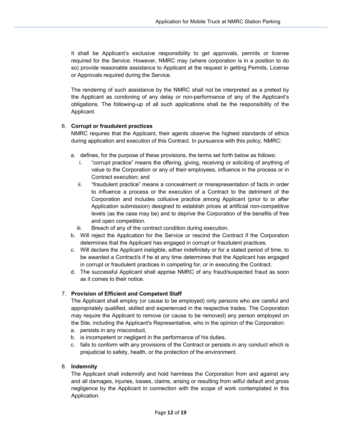It shall be Applicant's exclusive responsibility to get approvals, permits or license required for the Service. However, NMRC may (where corporation is in a position to do so) provide reasonable assistance to Applicant at the request in getting Permits, License or Approvals required during the Service.

The rendering of such assistance by the NMRC shall not be interpreted as a pretext by the Applicant as condoning of any delay or non-performance of any of the Applicant's obligations. The following-up of all such applications shall be the responsibility of the Applicant.

# 6. Corrupt or fraudulent practices

NMRC requires that the Applicant, their agents observe the highest standards of ethics during application and execution of this Contract. In pursuance with this policy, NMRC:

- a. defines, for the purpose of these provisions, the terms set forth below as follows:
	- i. "corrupt practice" means the offering, giving, receiving or soliciting of anything of value to the Corporation or any of their employees, influence in the process or in Contract execution; and
	- ii. "fraudulent practice" means a concealment or misrepresentation of facts in order to influence a process or the execution of a Contract to the detriment of the Corporation and includes collusive practice among Applicant (prior to or after Application submission) designed to establish prices at artificial non-competitive levels (as the case may be) and to deprive the Corporation of the benefits of free and open competition.
	- iii. Breach of any of the contract condition during execution.
- b. Will reject the Application for the Service or rescind the Contract if the Corporation determines that the Applicant has engaged in corrupt or fraudulent practices.
- c. Will declare the Applicant ineligible, either indefinitely or for a stated period of time, to be awarded a Contract/s if he at any time determines that the Applicant has engaged in corrupt or fraudulent practices in competing for, or in executing the Contract.
- d. The successful Applicant shall apprise NMRC of any fraud/suspected fraud as soon as it comes to their notice.

# 7. Provision of Efficient and Competent Staff

The Applicant shall employ (or cause to be employed) only persons who are careful and appropriately qualified, skilled and experienced in the respective trades. The Corporation may require the Applicant to remove (or cause to be removed) any person employed on the Site, including the Applicant's Representative, who in the opinion of the Corporation:

- a. persists in any misconduct,
- b. is incompetent or negligent in the performance of his duties,
- c. fails to conform with any provisions of the Contract or persists in any conduct which is prejudicial to safety, health, or the protection of the environment.

# 8. Indemnity

The Applicant shall indemnify and hold harmless the Corporation from and against any and all damages, injuries, losses, claims, arising or resulting from wilful default and gross negligence by the Applicant in connection with the scope of work contemplated in this Application.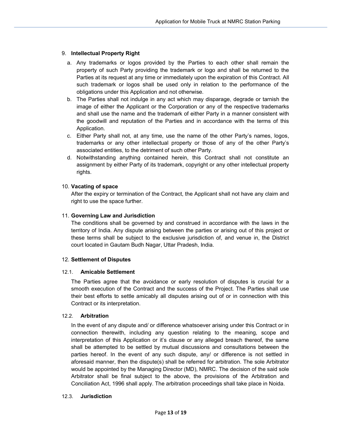# 9. Intellectual Property Right

- a. Any trademarks or logos provided by the Parties to each other shall remain the property of such Party providing the trademark or logo and shall be returned to the Parties at its request at any time or immediately upon the expiration of this Contract. All such trademark or logos shall be used only in relation to the performance of the obligations under this Application and not otherwise.
- b. The Parties shall not indulge in any act which may disparage, degrade or tarnish the image of either the Applicant or the Corporation or any of the respective trademarks and shall use the name and the trademark of either Party in a manner consistent with the goodwill and reputation of the Parties and in accordance with the terms of this Application.
- c. Either Party shall not, at any time, use the name of the other Party's names, logos, trademarks or any other intellectual property or those of any of the other Party's associated entities, to the detriment of such other Party.
- d. Notwithstanding anything contained herein, this Contract shall not constitute an assignment by either Party of its trademark, copyright or any other intellectual property rights.

#### 10. Vacating of space

After the expiry or termination of the Contract, the Applicant shall not have any claim and right to use the space further.

#### 11. Governing Law and Jurisdiction

The conditions shall be governed by and construed in accordance with the laws in the territory of India. Any dispute arising between the parties or arising out of this project or these terms shall be subject to the exclusive jurisdiction of, and venue in, the District court located in Gautam Budh Nagar, Uttar Pradesh, India.

#### 12. Settlement of Disputes

#### 12.1. Amicable Settlement

The Parties agree that the avoidance or early resolution of disputes is crucial for a smooth execution of the Contract and the success of the Project. The Parties shall use their best efforts to settle amicably all disputes arising out of or in connection with this Contract or its interpretation.

#### 12.2. Arbitration

In the event of any dispute and/ or difference whatsoever arising under this Contract or in connection therewith, including any question relating to the meaning, scope and interpretation of this Application or it's clause or any alleged breach thereof, the same shall be attempted to be settled by mutual discussions and consultations between the parties hereof. In the event of any such dispute, any/ or difference is not settled in aforesaid manner, then the dispute(s) shall be referred for arbitration. The sole Arbitrator would be appointed by the Managing Director (MD), NMRC. The decision of the said sole Arbitrator shall be final subject to the above, the provisions of the Arbitration and Conciliation Act, 1996 shall apply. The arbitration proceedings shall take place in Noida.

#### 12.3. Jurisdiction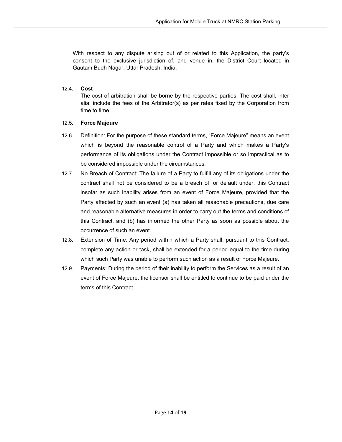With respect to any dispute arising out of or related to this Application, the party's consent to the exclusive jurisdiction of, and venue in, the District Court located in Gautam Budh Nagar, Uttar Pradesh, India.

#### 12.4. Cost

The cost of arbitration shall be borne by the respective parties. The cost shall, inter alia, include the fees of the Arbitrator(s) as per rates fixed by the Corporation from time to time.

#### 12.5. Force Majeure

- 12.6. Definition: For the purpose of these standard terms, "Force Majeure" means an event which is beyond the reasonable control of a Party and which makes a Party's performance of its obligations under the Contract impossible or so impractical as to be considered impossible under the circumstances.
- 12.7. No Breach of Contract: The failure of a Party to fulfill any of its obligations under the contract shall not be considered to be a breach of, or default under, this Contract insofar as such inability arises from an event of Force Majeure, provided that the Party affected by such an event (a) has taken all reasonable precautions, due care and reasonable alternative measures in order to carry out the terms and conditions of this Contract, and (b) has informed the other Party as soon as possible about the occurrence of such an event.
- 12.8. Extension of Time: Any period within which a Party shall, pursuant to this Contract, complete any action or task, shall be extended for a period equal to the time during which such Party was unable to perform such action as a result of Force Majeure.
- 12.9. Payments: During the period of their inability to perform the Services as a result of an event of Force Majeure, the licensor shall be entitled to continue to be paid under the terms of this Contract.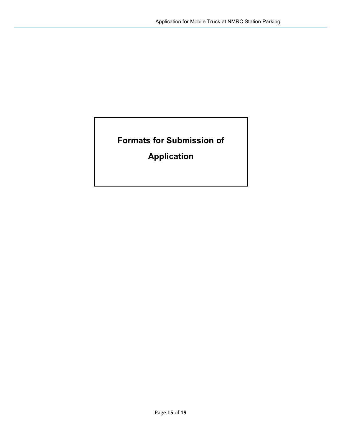Formats for Submission of

Application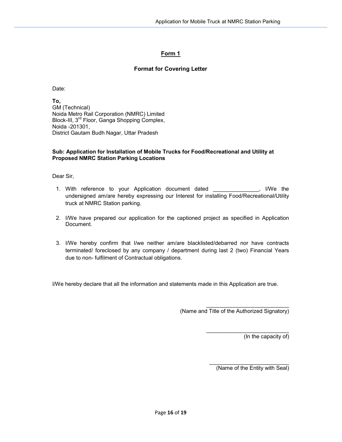# Form 1

# Format for Covering Letter

Date:

To, GM (Technical) Noida Metro Rail Corporation (NMRC) Limited Block-III, 3rd Floor, Ganga Shopping Complex, Noida -201301, District Gautam Budh Nagar, Uttar Pradesh

# Sub: Application for Installation of Mobile Trucks for Food/Recreational and Utility at Proposed NMRC Station Parking Locations

Dear Sir,

- 1. With reference to your Application document dated \_\_\_\_\_\_\_\_\_\_\_\_\_\_\_, I/We the undersigned am/are hereby expressing our Interest for installing Food/Recreational/Utility truck at NMRC Station parking.
- 2. I/We have prepared our application for the captioned project as specified in Application Document.
- 3. I/We hereby confirm that I/we neither am/are blacklisted/debarred nor have contracts terminated/ foreclosed by any company / department during last 2 (two) Financial Years due to non- fulfilment of Contractual obligations.

I/We hereby declare that all the information and statements made in this Application are true.

(Name and Title of the Authorized Signatory)

 $\mathcal{L}_\text{max}$  , where  $\mathcal{L}_\text{max}$  and  $\mathcal{L}_\text{max}$ (In the capacity of)

(Name of the Entity with Seal)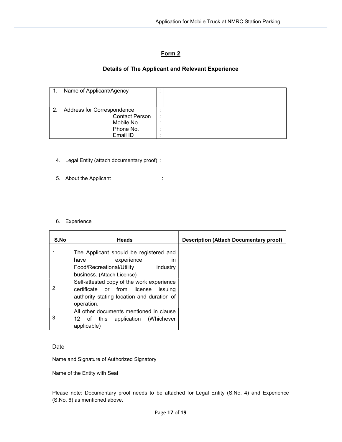# Form 2

# Details of The Applicant and Relevant Experience

|    | Name of Applicant/Agency   |        |  |
|----|----------------------------|--------|--|
|    |                            |        |  |
|    |                            |        |  |
| 2. | Address for Correspondence | ٠<br>٠ |  |
|    | <b>Contact Person</b>      |        |  |
|    | Mobile No.                 |        |  |
|    | Phone No.                  | ٠      |  |
|    | Email ID                   | ٠      |  |

- 4. Legal Entity (attach documentary proof) :
- 5. About the Applicant in the state of the state of the state of the state of the state of the state of the state of the state of the state of the state of the state of the state of the state of the state of the state of t
- 6. Experience

| S.No | <b>Heads</b>                                                                                                                                    | <b>Description (Attach Documentary proof)</b> |
|------|-------------------------------------------------------------------------------------------------------------------------------------------------|-----------------------------------------------|
|      | The Applicant should be registered and<br>experience<br>have<br>in<br>Food/Recreational/Utility<br>industry<br>business. (Attach License)       |                                               |
| 2    | Self-attested copy of the work experience<br>certificate or from license<br>issuina<br>authority stating location and duration of<br>operation. |                                               |
| 3    | All other documents mentioned in clause<br>12 of this application (Whichever<br>applicable)                                                     |                                               |

# Date

Name and Signature of Authorized Signatory

Name of the Entity with Seal

Please note: Documentary proof needs to be attached for Legal Entity (S.No. 4) and Experience (S.No. 6) as mentioned above.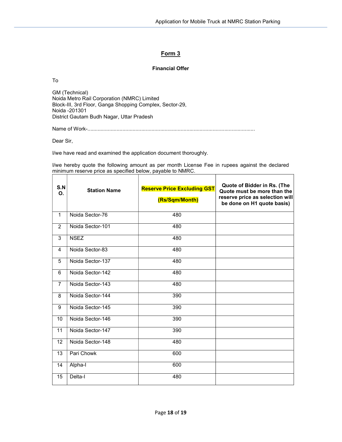٦

# Form 3

# Financial Offer

To

GM (Technical) Noida Metro Rail Corporation (NMRC) Limited Block-III, 3rd Floor, Ganga Shopping Complex, Sector-29, Noida -201301 District Gautam Budh Nagar, Uttar Pradesh

Name of Work-...................................................................................................................

Dear Sir,

─

I/we have read and examined the application document thoroughly.

I/we hereby quote the following amount as per month License Fee in rupees against the declared minimum reserve price as specified below, payable to NMRC.

| S.N<br>O.      | <b>Station Name</b> | <b>Reserve Price Excluding GST</b><br>(Rs/Sqm/Month) | Quote of Bidder in Rs. (The<br>Quote must be more than the<br>reserve price as selection will<br>be done on H1 quote basis) |
|----------------|---------------------|------------------------------------------------------|-----------------------------------------------------------------------------------------------------------------------------|
| $\mathbf{1}$   | Noida Sector-76     | 480                                                  |                                                                                                                             |
| $\overline{2}$ | Noida Sector-101    | 480                                                  |                                                                                                                             |
| 3              | <b>NSEZ</b>         | 480                                                  |                                                                                                                             |
| 4              | Noida Sector-83     | 480                                                  |                                                                                                                             |
| 5              | Noida Sector-137    | 480                                                  |                                                                                                                             |
| 6              | Noida Sector-142    | 480                                                  |                                                                                                                             |
| $\overline{7}$ | Noida Sector-143    | 480                                                  |                                                                                                                             |
| 8              | Noida Sector-144    | 390                                                  |                                                                                                                             |
| 9              | Noida Sector-145    | 390                                                  |                                                                                                                             |
| 10             | Noida Sector-146    | 390                                                  |                                                                                                                             |
| 11             | Noida Sector-147    | 390                                                  |                                                                                                                             |
| 12             | Noida Sector-148    | 480                                                  |                                                                                                                             |
| 13             | Pari Chowk          | 600                                                  |                                                                                                                             |
| 14             | Alpha-I             | 600                                                  |                                                                                                                             |
| 15             | Delta-l             | 480                                                  |                                                                                                                             |